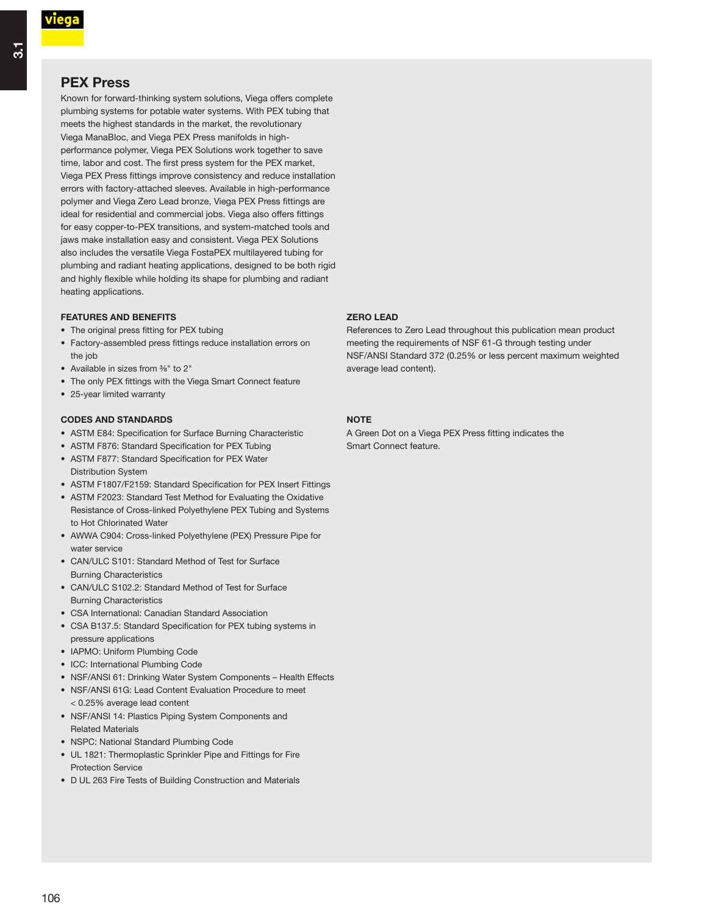# **PEX Press**

Known for forward-thinking system solutions, Viega offers complete plumbing systems for potable water systems. With PEX tubing that meets the highest standards in the market, the revolutionary Viega ManaBloc, and Viega PEX Press manifolds in highperformance polymer, Viega PEX Solutions work together to save time, labor and cost. The first press system for the PEX market, Viega PEX Press fittings improve consistency and reduce installation errors with factory-attached sleeves. Available in high-performance polymer and Viega Zero Lead bronze, Viega PEX Press fittings are ideal for residential and commercial jobs. Viega also offers fittings for easy copper-to-PEX transitions, and system-matched tools and jaws make installation easy and consistent. Viega PEX Solutions also includes the versatile Viega FostaPEX multilayered tubing for plumbing and radiant heating applications, designed to be both rigid and highly flexible while holding its shape for plumbing and radiant heating applications.

## **FEATURES AND BENEFITS**

- $\bullet~$  The original press fitting for PEX tubing
- Factory-assembled press fittings reduce installation errors on the job
- Available in sizes from <sup>3</sup>%" to 2"
- $\bullet~$  The only PEX fittings with the Viega Smart Connect feature
- 25-year limited warranty

### **CODES AND STANDARDS**

- ASTM E84: Specification for Surface Burning Characteristic
- $\bullet~$  ASTM F876: Standard Specification for PEX Tubing
- ASTM F877: Standard Specification for PEX Water Distribution System
- $\bullet~$  ASTM F1807/F2159: Standard Specification for PEX Insert Fittings
- ASTM F2023: Standard Test Method for Evaluating the Oxidative Resistance of Cross-linked Polyethylene PEX Tubing and Systems to Hot Chlorinated Water
- AWWA C904: Cross-linked Polyethylene (PEX) Pressure Pipe for water service
- CAN/ULC S101: Standard Method of Test for Surface Burning Characteristics
- CAN/ULC S102.2: Standard Method of Test for Surface Burning Characteristics
- CSA International: Canadian Standard Association
- CSA B137.5: Standard Specification for PEX tubing systems in pressure applications
- IAPMO: Uniform Plumbing Code
- ICC: International Plumbing Code
- NSF/ANSI 61: Drinking Water System Components Health Effects
- NSF/ANSI 61G: Lead Content Evaluation Procedure to meet < 0.25% average lead content
- NSF/ANSI 14: Plastics Piping System Components and Related Materials
- NSPC: National Standard Plumbing Code
- UL 1821: Thermoplastic Sprinkler Pipe and Fittings for Fire Protection Service
- D UL 263 Fire Tests of Building Construction and Materials

### **ZERO LEAD**

References to Zero Lead throughout this publication mean product meeting the requirements of NSF 61-G through testing under NSF/ANSI Standard 372 (0.25% or less percent maximum weighted average lead content).

### **NOTE**

A Green Dot on a Viega PEX Press fitting indicates the Smart Connect feature.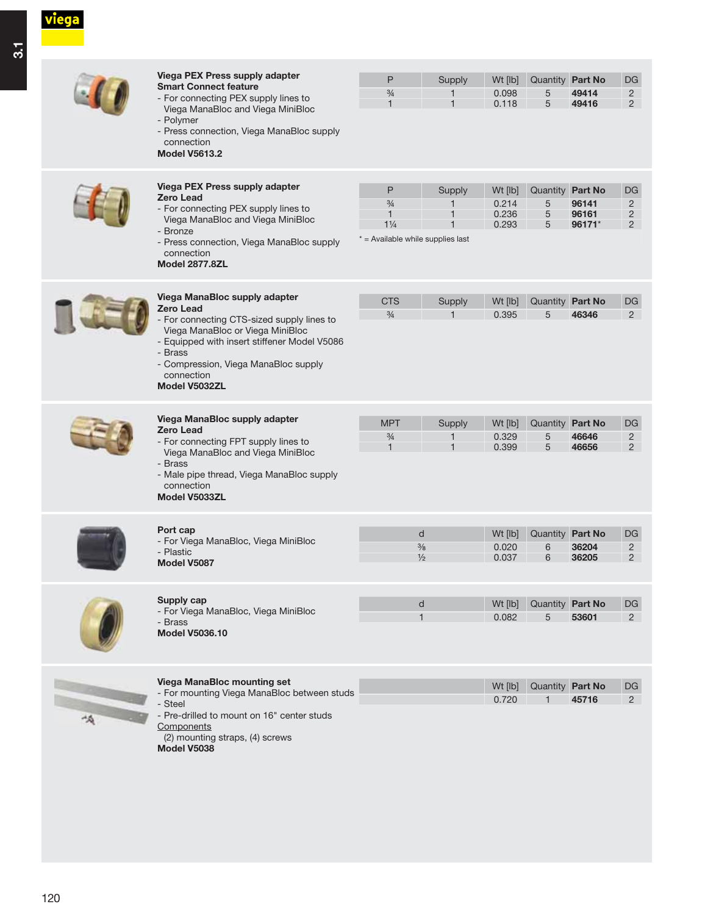viega

|   | <b>Viega PEX Press supply adapter</b><br><b>Smart Connect feature</b><br>- For connecting PEX supply lines to<br>Viega ManaBloc and Viega MiniBloc<br>- Polymer<br>- Press connection, Viega ManaBloc supply<br>connection<br><b>Model V5613.2</b>                    | P<br>$\frac{3}{4}$<br>$\mathbf{1}$                                                          | Supply           | Wt [lb]<br>0.098<br>0.118          | Quantity Part No<br>5<br>5       | 49414<br>49416           | DG<br>$\overline{2}$<br>$2^{\circ}$         |
|---|-----------------------------------------------------------------------------------------------------------------------------------------------------------------------------------------------------------------------------------------------------------------------|---------------------------------------------------------------------------------------------|------------------|------------------------------------|----------------------------------|--------------------------|---------------------------------------------|
|   | Viega PEX Press supply adapter<br><b>Zero Lead</b><br>- For connecting PEX supply lines to<br>Viega ManaBloc and Viega MiniBloc<br>- Bronze<br>- Press connection, Viega ManaBloc supply<br>connection<br><b>Model 2877.8ZL</b>                                       | P<br>$\frac{3}{4}$<br>$\mathbf{1}$<br>$1\frac{1}{4}$<br>$*$ = Available while supplies last | Supply<br>1      | Wt [lb]<br>0.214<br>0.236<br>0.293 | Quantity Part No<br>5<br>5<br>5  | 96141<br>96161<br>96171* | DG<br>$\overline{2}$<br>$\overline{2}$<br>2 |
|   | Viega ManaBloc supply adapter<br><b>Zero Lead</b><br>- For connecting CTS-sized supply lines to<br>Viega ManaBloc or Viega MiniBloc<br>- Equipped with insert stiffener Model V5086<br>- Brass<br>- Compression, Viega ManaBloc supply<br>connection<br>Model V5032ZL | <b>CTS</b><br>$\frac{3}{4}$                                                                 | Supply           | Wt [lb]<br>0.395                   | Quantity Part No<br>5            | 46346                    | <b>DG</b><br>$\overline{2}$                 |
|   | Viega ManaBloc supply adapter<br><b>Zero Lead</b><br>- For connecting FPT supply lines to<br>Viega ManaBloc and Viega MiniBloc<br>- Brass<br>- Male pipe thread, Viega ManaBloc supply<br>connection<br>Model V5033ZL                                                 | <b>MPT</b><br>$\frac{3}{4}$<br>$\mathbf{1}$                                                 | Supply<br>1<br>1 | Wt [lb]<br>0.329<br>0.399          | Quantity Part No<br>5<br>5       | 46646<br>46656           | DG<br>$\overline{2}$<br>$\overline{2}$      |
|   | Port cap<br>- For Viega ManaBloc, Viega MiniBloc<br>- Plastic<br>Model V5087                                                                                                                                                                                          | d<br>$\frac{3}{8}$<br>$\frac{1}{2}$                                                         |                  | Wt [lb]<br>0.020<br>0.037          | Quantity Part No<br>6<br>6       | 36204<br>36205           | DG<br>$\overline{c}$<br>2                   |
|   | Supply cap<br>- For Viega ManaBloc, Viega MiniBloc<br>- Brass<br><b>Model V5036.10</b>                                                                                                                                                                                | d<br>$\mathbf{1}$                                                                           |                  | Wt [lb]<br>0.082                   | Quantity Part No<br>5            | 53601                    | DG<br>$\overline{2}$                        |
| 崎 | <b>Viega ManaBloc mounting set</b><br>- For mounting Viega ManaBloc between studs<br>- Steel<br>- Pre-drilled to mount on 16" center studs<br>Components<br>(2) mounting straps, (4) screws<br>Model V5038                                                            |                                                                                             |                  | Wt [lb]<br>0.720                   | Quantity Part No<br>$\mathbf{1}$ | 45716                    | $DG$<br>$2^{\circ}$                         |